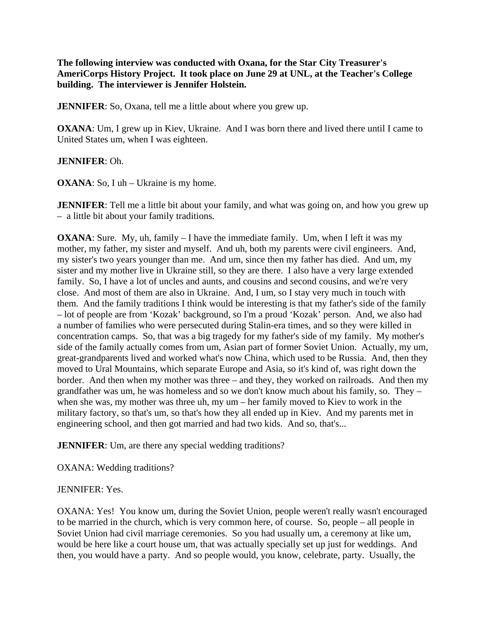**The following interview was conducted with Oxana, for the Star City Treasurer's AmeriCorps History Project. It took place on June 29 at UNL, at the Teacher's College building. The interviewer is Jennifer Holstein.** 

**JENNIFER**: So, Oxana, tell me a little about where you grew up.

**OXANA**: Um, I grew up in Kiev, Ukraine. And I was born there and lived there until I came to United States um, when I was eighteen.

# **JENNIFER**: Oh.

**OXANA**: So, I uh – Ukraine is my home.

**JENNIFER**: Tell me a little bit about your family, and what was going on, and how you grew up – a little bit about your family traditions.

**OXANA**: Sure. My, uh, family – I have the immediate family. Um, when I left it was my mother, my father, my sister and myself. And uh, both my parents were civil engineers. And, my sister's two years younger than me. And um, since then my father has died. And um, my sister and my mother live in Ukraine still, so they are there. I also have a very large extended family. So, I have a lot of uncles and aunts, and cousins and second cousins, and we're very close. And most of them are also in Ukraine. And, I um, so I stay very much in touch with them. And the family traditions I think would be interesting is that my father's side of the family – lot of people are from 'Kozak' background, so I'm a proud 'Kozak' person. And, we also had a number of families who were persecuted during Stalin-era times, and so they were killed in concentration camps. So, that was a big tragedy for my father's side of my family. My mother's side of the family actually comes from um, Asian part of former Soviet Union. Actually, my um, great-grandparents lived and worked what's now China, which used to be Russia. And, then they moved to Ural Mountains, which separate Europe and Asia, so it's kind of, was right down the border. And then when my mother was three – and they, they worked on railroads. And then my grandfather was um, he was homeless and so we don't know much about his family, so. They – when she was, my mother was three uh, my um – her family moved to Kiev to work in the military factory, so that's um, so that's how they all ended up in Kiev. And my parents met in engineering school, and then got married and had two kids. And so, that's...

**JENNIFER**: Um, are there any special wedding traditions?

OXANA: Wedding traditions?

### JENNIFER: Yes.

OXANA: Yes! You know um, during the Soviet Union, people weren't really wasn't encouraged to be married in the church, which is very common here, of course. So, people – all people in Soviet Union had civil marriage ceremonies. So you had usually um, a ceremony at like um, would be here like a court house um, that was actually specially set up just for weddings. And then, you would have a party. And so people would, you know, celebrate, party. Usually, the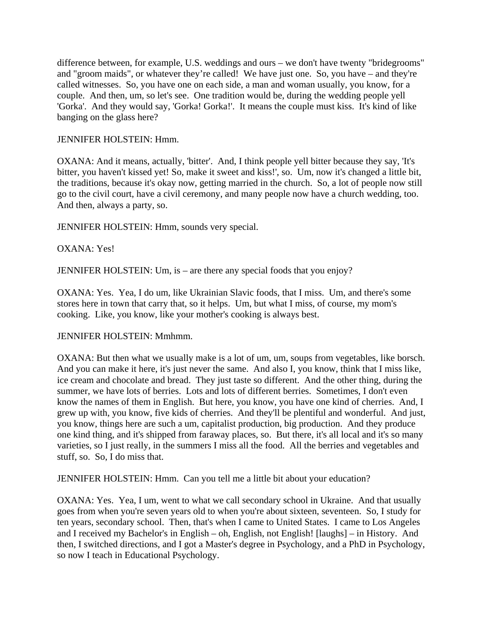difference between, for example, U.S. weddings and ours – we don't have twenty "bridegrooms" and "groom maids", or whatever they're called! We have just one. So, you have – and they're called witnesses. So, you have one on each side, a man and woman usually, you know, for a couple. And then, um, so let's see. One tradition would be, during the wedding people yell 'Gorka'. And they would say, 'Gorka! Gorka!'. It means the couple must kiss. It's kind of like banging on the glass here?

## JENNIFER HOLSTEIN: Hmm.

OXANA: And it means, actually, 'bitter'. And, I think people yell bitter because they say, 'It's bitter, you haven't kissed yet! So, make it sweet and kiss!', so. Um, now it's changed a little bit, the traditions, because it's okay now, getting married in the church. So, a lot of people now still go to the civil court, have a civil ceremony, and many people now have a church wedding, too. And then, always a party, so.

JENNIFER HOLSTEIN: Hmm, sounds very special.

# OXANA: Yes!

JENNIFER HOLSTEIN: Um, is – are there any special foods that you enjoy?

OXANA: Yes. Yea, I do um, like Ukrainian Slavic foods, that I miss. Um, and there's some stores here in town that carry that, so it helps. Um, but what I miss, of course, my mom's cooking. Like, you know, like your mother's cooking is always best.

### JENNIFER HOLSTEIN: Mmhmm.

OXANA: But then what we usually make is a lot of um, um, soups from vegetables, like borsch. And you can make it here, it's just never the same. And also I, you know, think that I miss like, ice cream and chocolate and bread. They just taste so different. And the other thing, during the summer, we have lots of berries. Lots and lots of different berries. Sometimes, I don't even know the names of them in English. But here, you know, you have one kind of cherries. And, I grew up with, you know, five kids of cherries. And they'll be plentiful and wonderful. And just, you know, things here are such a um, capitalist production, big production. And they produce one kind thing, and it's shipped from faraway places, so. But there, it's all local and it's so many varieties, so I just really, in the summers I miss all the food. All the berries and vegetables and stuff, so. So, I do miss that.

JENNIFER HOLSTEIN: Hmm. Can you tell me a little bit about your education?

OXANA: Yes. Yea, I um, went to what we call secondary school in Ukraine. And that usually goes from when you're seven years old to when you're about sixteen, seventeen. So, I study for ten years, secondary school. Then, that's when I came to United States. I came to Los Angeles and I received my Bachelor's in English – oh, English, not English! [laughs] – in History. And then, I switched directions, and I got a Master's degree in Psychology, and a PhD in Psychology, so now I teach in Educational Psychology.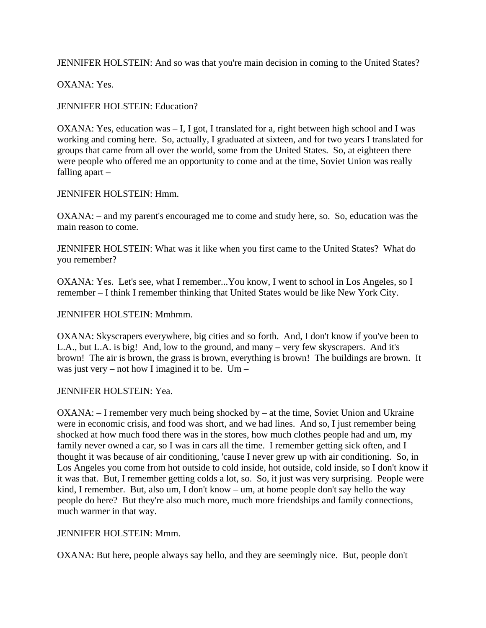JENNIFER HOLSTEIN: And so was that you're main decision in coming to the United States?

OXANA: Yes.

JENNIFER HOLSTEIN: Education?

OXANA: Yes, education was – I, I got, I translated for a, right between high school and I was working and coming here. So, actually, I graduated at sixteen, and for two years I translated for groups that came from all over the world, some from the United States. So, at eighteen there were people who offered me an opportunity to come and at the time, Soviet Union was really falling apart –

### JENNIFER HOLSTEIN: Hmm.

OXANA: – and my parent's encouraged me to come and study here, so. So, education was the main reason to come.

JENNIFER HOLSTEIN: What was it like when you first came to the United States? What do you remember?

OXANA: Yes. Let's see, what I remember...You know, I went to school in Los Angeles, so I remember – I think I remember thinking that United States would be like New York City.

JENNIFER HOLSTEIN: Mmhmm.

OXANA: Skyscrapers everywhere, big cities and so forth. And, I don't know if you've been to L.A., but L.A. is big! And, low to the ground, and many – very few skyscrapers. And it's brown! The air is brown, the grass is brown, everything is brown! The buildings are brown. It was just very – not how I imagined it to be.  $Um -$ 

### JENNIFER HOLSTEIN: Yea.

OXANA: – I remember very much being shocked by – at the time, Soviet Union and Ukraine were in economic crisis, and food was short, and we had lines. And so, I just remember being shocked at how much food there was in the stores, how much clothes people had and um, my family never owned a car, so I was in cars all the time. I remember getting sick often, and I thought it was because of air conditioning, 'cause I never grew up with air conditioning. So, in Los Angeles you come from hot outside to cold inside, hot outside, cold inside, so I don't know if it was that. But, I remember getting colds a lot, so. So, it just was very surprising. People were kind, I remember. But, also um, I don't know – um, at home people don't say hello the way people do here? But they're also much more, much more friendships and family connections, much warmer in that way.

#### JENNIFER HOLSTEIN: Mmm.

OXANA: But here, people always say hello, and they are seemingly nice. But, people don't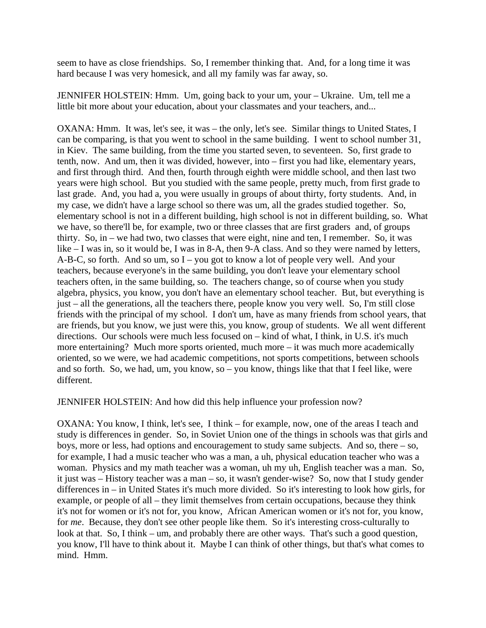seem to have as close friendships. So, I remember thinking that. And, for a long time it was hard because I was very homesick, and all my family was far away, so.

JENNIFER HOLSTEIN: Hmm. Um, going back to your um, your – Ukraine. Um, tell me a little bit more about your education, about your classmates and your teachers, and...

OXANA: Hmm. It was, let's see, it was – the only, let's see. Similar things to United States, I can be comparing, is that you went to school in the same building. I went to school number 31, in Kiev. The same building, from the time you started seven, to seventeen. So, first grade to tenth, now. And um, then it was divided, however, into – first you had like, elementary years, and first through third. And then, fourth through eighth were middle school, and then last two years were high school. But you studied with the same people, pretty much, from first grade to last grade. And, you had a, you were usually in groups of about thirty, forty students. And, in my case, we didn't have a large school so there was um, all the grades studied together. So, elementary school is not in a different building, high school is not in different building, so. What we have, so there'll be, for example, two or three classes that are first graders and, of groups thirty. So, in – we had two, two classes that were eight, nine and ten, I remember. So, it was like – I was in, so it would be, I was in 8-A, then 9-A class. And so they were named by letters, A-B-C, so forth. And so um, so I – you got to know a lot of people very well. And your teachers, because everyone's in the same building, you don't leave your elementary school teachers often, in the same building, so. The teachers change, so of course when you study algebra, physics, you know, you don't have an elementary school teacher. But, but everything is just – all the generations, all the teachers there, people know you very well. So, I'm still close friends with the principal of my school. I don't um, have as many friends from school years, that are friends, but you know, we just were this, you know, group of students. We all went different directions. Our schools were much less focused on – kind of what, I think, in U.S. it's much more entertaining? Much more sports oriented, much more – it was much more academically oriented, so we were, we had academic competitions, not sports competitions, between schools and so forth. So, we had, um, you know, so – you know, things like that that I feel like, were different.

JENNIFER HOLSTEIN: And how did this help influence your profession now?

OXANA: You know, I think, let's see, I think – for example, now, one of the areas I teach and study is differences in gender. So, in Soviet Union one of the things in schools was that girls and boys, more or less, had options and encouragement to study same subjects. And so, there – so, for example, I had a music teacher who was a man, a uh, physical education teacher who was a woman. Physics and my math teacher was a woman, uh my uh, English teacher was a man. So, it just was – History teacher was a man – so, it wasn't gender-wise? So, now that I study gender differences in – in United States it's much more divided. So it's interesting to look how girls, for example, or people of all – they limit themselves from certain occupations, because they think it's not for women or it's not for, you know, African American women or it's not for, you know, for *me*. Because, they don't see other people like them. So it's interesting cross-culturally to look at that. So, I think – um, and probably there are other ways. That's such a good question, you know, I'll have to think about it. Maybe I can think of other things, but that's what comes to mind. Hmm.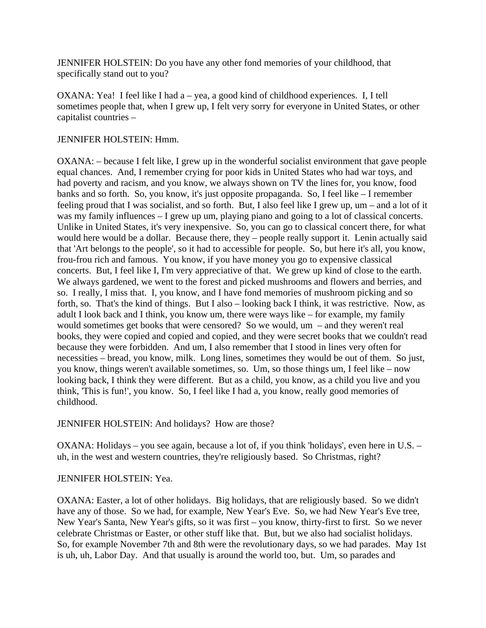JENNIFER HOLSTEIN: Do you have any other fond memories of your childhood, that specifically stand out to you?

OXANA: Yea! I feel like I had a – yea, a good kind of childhood experiences. I, I tell sometimes people that, when I grew up, I felt very sorry for everyone in United States, or other capitalist countries –

### JENNIFER HOLSTEIN: Hmm.

OXANA: – because I felt like, I grew up in the wonderful socialist environment that gave people equal chances. And, I remember crying for poor kids in United States who had war toys, and had poverty and racism, and you know, we always shown on TV the lines for, you know, food banks and so forth. So, you know, it's just opposite propaganda. So, I feel like – I remember feeling proud that I was socialist, and so forth. But, I also feel like I grew up, um – and a lot of it was my family influences – I grew up um, playing piano and going to a lot of classical concerts. Unlike in United States, it's very inexpensive. So, you can go to classical concert there, for what would here would be a dollar. Because there, they – people really support it. Lenin actually said that 'Art belongs to the people', so it had to accessible for people. So, but here it's all, you know, frou-frou rich and famous. You know, if you have money you go to expensive classical concerts. But, I feel like I, I'm very appreciative of that. We grew up kind of close to the earth. We always gardened, we went to the forest and picked mushrooms and flowers and berries, and so. I really, I miss that. I, you know, and I have fond memories of mushroom picking and so forth, so. That's the kind of things. But I also – looking back I think, it was restrictive. Now, as adult I look back and I think, you know um, there were ways like – for example, my family would sometimes get books that were censored? So we would, um – and they weren't real books, they were copied and copied and copied, and they were secret books that we couldn't read because they were forbidden. And um, I also remember that I stood in lines very often for necessities – bread, you know, milk. Long lines, sometimes they would be out of them. So just, you know, things weren't available sometimes, so. Um, so those things um, I feel like – now looking back, I think they were different. But as a child, you know, as a child you live and you think, 'This is fun!', you know. So, I feel like I had a, you know, really good memories of childhood.

JENNIFER HOLSTEIN: And holidays? How are those?

OXANA: Holidays – you see again, because a lot of, if you think 'holidays', even here in U.S. – uh, in the west and western countries, they're religiously based. So Christmas, right?

### JENNIFER HOLSTEIN: Yea.

OXANA: Easter, a lot of other holidays. Big holidays, that are religiously based. So we didn't have any of those. So we had, for example, New Year's Eve. So, we had New Year's Eve tree, New Year's Santa, New Year's gifts, so it was first – you know, thirty-first to first. So we never celebrate Christmas or Easter, or other stuff like that. But, but we also had socialist holidays. So, for example November 7th and 8th were the revolutionary days, so we had parades. May 1st is uh, uh, Labor Day. And that usually is around the world too, but. Um, so parades and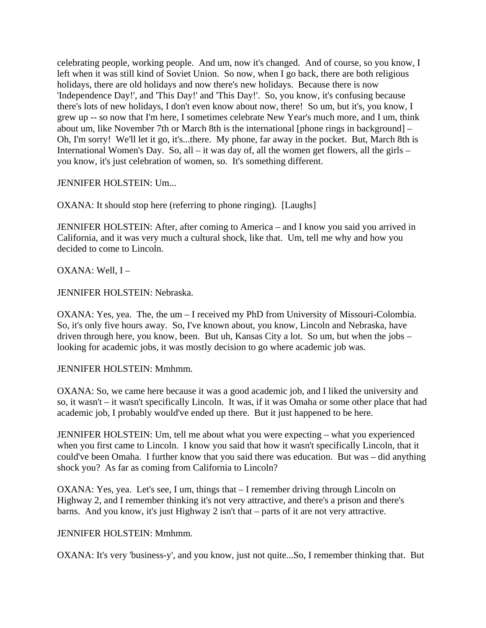celebrating people, working people. And um, now it's changed. And of course, so you know, I left when it was still kind of Soviet Union. So now, when I go back, there are both religious holidays, there are old holidays and now there's new holidays. Because there is now 'Independence Day!', and 'This Day!' and 'This Day!'. So, you know, it's confusing because there's lots of new holidays, I don't even know about now, there! So um, but it's, you know, I grew up -- so now that I'm here, I sometimes celebrate New Year's much more, and I um, think about um, like November 7th or March 8th is the international [phone rings in background] – Oh, I'm sorry! We'll let it go, it's...there. My phone, far away in the pocket. But, March 8th is International Women's Day. So, all – it was day of, all the women get flowers, all the girls – you know, it's just celebration of women, so. It's something different.

JENNIFER HOLSTEIN: Um...

OXANA: It should stop here (referring to phone ringing). [Laughs]

JENNIFER HOLSTEIN: After, after coming to America – and I know you said you arrived in California, and it was very much a cultural shock, like that. Um, tell me why and how you decided to come to Lincoln.

OXANA: Well, I –

JENNIFER HOLSTEIN: Nebraska.

OXANA: Yes, yea. The, the um – I received my PhD from University of Missouri-Colombia. So, it's only five hours away. So, I've known about, you know, Lincoln and Nebraska, have driven through here, you know, been. But uh, Kansas City a lot. So um, but when the jobs – looking for academic jobs, it was mostly decision to go where academic job was.

JENNIFER HOLSTEIN: Mmhmm.

OXANA: So, we came here because it was a good academic job, and I liked the university and so, it wasn't – it wasn't specifically Lincoln. It was, if it was Omaha or some other place that had academic job, I probably would've ended up there. But it just happened to be here.

JENNIFER HOLSTEIN: Um, tell me about what you were expecting – what you experienced when you first came to Lincoln. I know you said that how it wasn't specifically Lincoln, that it could've been Omaha. I further know that you said there was education. But was – did anything shock you? As far as coming from California to Lincoln?

OXANA: Yes, yea. Let's see, I um, things that – I remember driving through Lincoln on Highway 2, and I remember thinking it's not very attractive, and there's a prison and there's barns. And you know, it's just Highway 2 isn't that – parts of it are not very attractive.

### JENNIFER HOLSTEIN: Mmhmm.

OXANA: It's very 'business-y', and you know, just not quite...So, I remember thinking that. But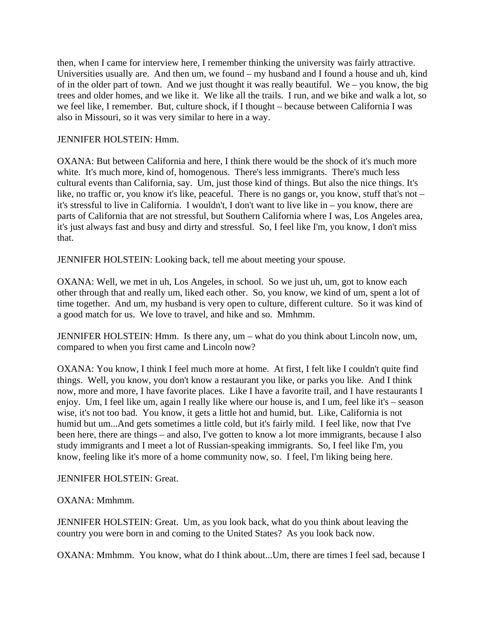then, when I came for interview here, I remember thinking the university was fairly attractive. Universities usually are. And then um, we found – my husband and I found a house and uh, kind of in the older part of town. And we just thought it was really beautiful. We – you know, the big trees and older homes, and we like it. We like all the trails. I run, and we bike and walk a lot, so we feel like, I remember. But, culture shock, if I thought – because between California I was also in Missouri, so it was very similar to here in a way.

## JENNIFER HOLSTEIN: Hmm.

OXANA: But between California and here, I think there would be the shock of it's much more white. It's much more, kind of, homogenous. There's less immigrants. There's much less cultural events than California, say. Um, just those kind of things. But also the nice things. It's like, no traffic or, you know it's like, peaceful. There is no gangs or, you know, stuff that's not – it's stressful to live in California. I wouldn't, I don't want to live like in – you know, there are parts of California that are not stressful, but Southern California where I was, Los Angeles area, it's just always fast and busy and dirty and stressful. So, I feel like I'm, you know, I don't miss that.

JENNIFER HOLSTEIN: Looking back, tell me about meeting your spouse.

OXANA: Well, we met in uh, Los Angeles, in school. So we just uh, um, got to know each other through that and really um, liked each other. So, you know, we kind of um, spent a lot of time together. And um, my husband is very open to culture, different culture. So it was kind of a good match for us. We love to travel, and hike and so. Mmhmm.

JENNIFER HOLSTEIN: Hmm. Is there any, um – what do you think about Lincoln now, um, compared to when you first came and Lincoln now?

OXANA: You know, I think I feel much more at home. At first, I felt like I couldn't quite find things. Well, you know, you don't know a restaurant you like, or parks you like. And I think now, more and more, I have favorite places. Like I have a favorite trail, and I have restaurants I enjoy. Um, I feel like um, again I really like where our house is, and I um, feel like it's – season wise, it's not too bad. You know, it gets a little hot and humid, but. Like, California is not humid but um...And gets sometimes a little cold, but it's fairly mild. I feel like, now that I've been here, there are things – and also, I've gotten to know a lot more immigrants, because I also study immigrants and I meet a lot of Russian-speaking immigrants. So, I feel like I'm, you know, feeling like it's more of a home community now, so. I feel, I'm liking being here.

JENNIFER HOLSTEIN: Great.

OXANA: Mmhmm.

JENNIFER HOLSTEIN: Great. Um, as you look back, what do you think about leaving the country you were born in and coming to the United States? As you look back now.

OXANA: Mmhmm. You know, what do I think about...Um, there are times I feel sad, because I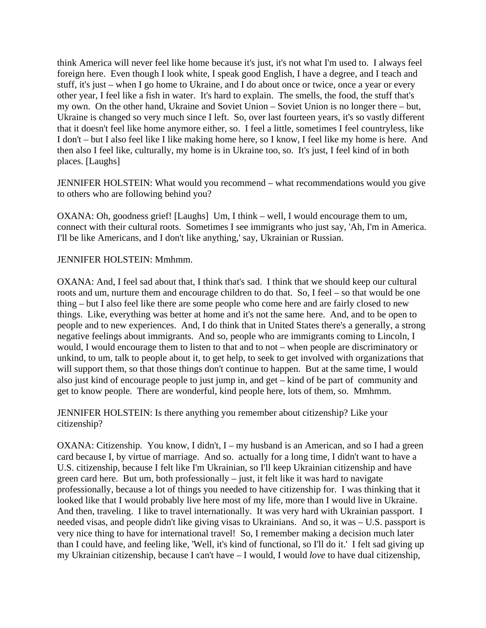think America will never feel like home because it's just, it's not what I'm used to. I always feel foreign here. Even though I look white, I speak good English, I have a degree, and I teach and stuff, it's just – when I go home to Ukraine, and I do about once or twice, once a year or every other year, I feel like a fish in water. It's hard to explain. The smells, the food, the stuff that's my own. On the other hand, Ukraine and Soviet Union – Soviet Union is no longer there – but, Ukraine is changed so very much since I left. So, over last fourteen years, it's so vastly different that it doesn't feel like home anymore either, so. I feel a little, sometimes I feel countryless, like I don't – but I also feel like I like making home here, so I know, I feel like my home is here. And then also I feel like, culturally, my home is in Ukraine too, so. It's just, I feel kind of in both places. [Laughs]

JENNIFER HOLSTEIN: What would you recommend – what recommendations would you give to others who are following behind you?

OXANA: Oh, goodness grief! [Laughs] Um, I think – well, I would encourage them to um, connect with their cultural roots. Sometimes I see immigrants who just say, 'Ah, I'm in America. I'll be like Americans, and I don't like anything,' say, Ukrainian or Russian.

#### JENNIFER HOLSTEIN: Mmhmm.

OXANA: And, I feel sad about that, I think that's sad. I think that we should keep our cultural roots and um, nurture them and encourage children to do that. So, I feel – so that would be one thing – but I also feel like there are some people who come here and are fairly closed to new things. Like, everything was better at home and it's not the same here. And, and to be open to people and to new experiences. And, I do think that in United States there's a generally, a strong negative feelings about immigrants. And so, people who are immigrants coming to Lincoln, I would, I would encourage them to listen to that and to not – when people are discriminatory or unkind, to um, talk to people about it, to get help, to seek to get involved with organizations that will support them, so that those things don't continue to happen. But at the same time, I would also just kind of encourage people to just jump in, and get – kind of be part of community and get to know people. There are wonderful, kind people here, lots of them, so. Mmhmm.

JENNIFER HOLSTEIN: Is there anything you remember about citizenship? Like your citizenship?

OXANA: Citizenship. You know, I didn't, I – my husband is an American, and so I had a green card because I, by virtue of marriage. And so. actually for a long time, I didn't want to have a U.S. citizenship, because I felt like I'm Ukrainian, so I'll keep Ukrainian citizenship and have green card here. But um, both professionally – just, it felt like it was hard to navigate professionally, because a lot of things you needed to have citizenship for. I was thinking that it looked like that I would probably live here most of my life, more than I would live in Ukraine. And then, traveling. I like to travel internationally. It was very hard with Ukrainian passport. I needed visas, and people didn't like giving visas to Ukrainians. And so, it was – U.S. passport is very nice thing to have for international travel! So, I remember making a decision much later than I could have, and feeling like, 'Well, it's kind of functional, so I'll do it.' I felt sad giving up my Ukrainian citizenship, because I can't have – I would, I would *love* to have dual citizenship,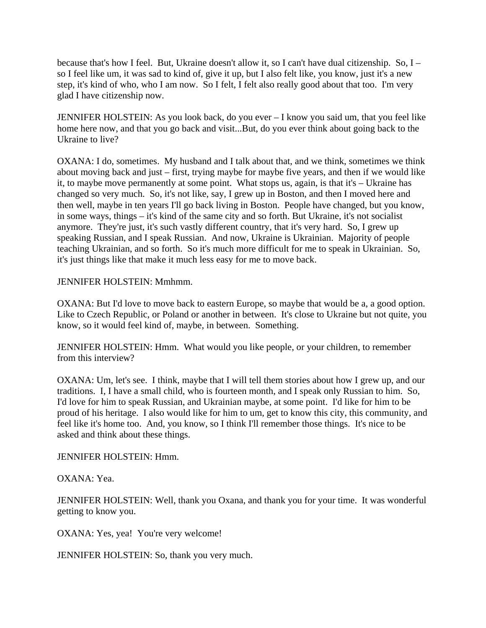because that's how I feel. But, Ukraine doesn't allow it, so I can't have dual citizenship. So, I – so I feel like um, it was sad to kind of, give it up, but I also felt like, you know, just it's a new step, it's kind of who, who I am now. So I felt, I felt also really good about that too. I'm very glad I have citizenship now.

JENNIFER HOLSTEIN: As you look back, do you ever – I know you said um, that you feel like home here now, and that you go back and visit...But, do you ever think about going back to the Ukraine to live?

OXANA: I do, sometimes. My husband and I talk about that, and we think, sometimes we think about moving back and just – first, trying maybe for maybe five years, and then if we would like it, to maybe move permanently at some point. What stops us, again, is that it's – Ukraine has changed so very much. So, it's not like, say, I grew up in Boston, and then I moved here and then well, maybe in ten years I'll go back living in Boston. People have changed, but you know, in some ways, things – it's kind of the same city and so forth. But Ukraine, it's not socialist anymore. They're just, it's such vastly different country, that it's very hard. So, I grew up speaking Russian, and I speak Russian. And now, Ukraine is Ukrainian. Majority of people teaching Ukrainian, and so forth. So it's much more difficult for me to speak in Ukrainian. So, it's just things like that make it much less easy for me to move back.

JENNIFER HOLSTEIN: Mmhmm.

OXANA: But I'd love to move back to eastern Europe, so maybe that would be a, a good option. Like to Czech Republic, or Poland or another in between. It's close to Ukraine but not quite, you know, so it would feel kind of, maybe, in between. Something.

JENNIFER HOLSTEIN: Hmm. What would you like people, or your children, to remember from this interview?

OXANA: Um, let's see. I think, maybe that I will tell them stories about how I grew up, and our traditions. I, I have a small child, who is fourteen month, and I speak only Russian to him. So, I'd love for him to speak Russian, and Ukrainian maybe, at some point. I'd like for him to be proud of his heritage. I also would like for him to um, get to know this city, this community, and feel like it's home too. And, you know, so I think I'll remember those things. It's nice to be asked and think about these things.

JENNIFER HOLSTEIN: Hmm.

OXANA: Yea.

JENNIFER HOLSTEIN: Well, thank you Oxana, and thank you for your time. It was wonderful getting to know you.

OXANA: Yes, yea! You're very welcome!

JENNIFER HOLSTEIN: So, thank you very much.